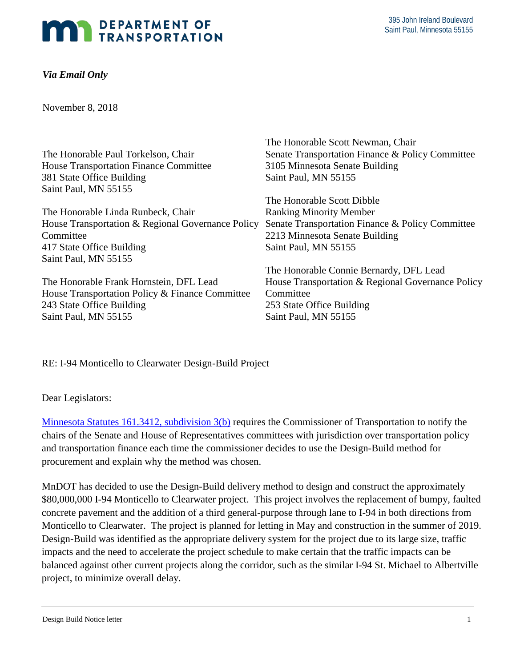## **DEPARTMENT OF EXPARTMENT OF**<br>TRANSPORTATION

## *Via Email Only*

November 8, 2018

|                                                   | The Honorable Scott Newman, Chair                 |
|---------------------------------------------------|---------------------------------------------------|
| The Honorable Paul Torkelson, Chair               | Senate Transportation Finance & Policy Committee  |
| House Transportation Finance Committee            | 3105 Minnesota Senate Building                    |
| 381 State Office Building                         | Saint Paul, MN 55155                              |
| Saint Paul, MN 55155                              |                                                   |
|                                                   | The Honorable Scott Dibble                        |
| The Honorable Linda Runbeck, Chair                | <b>Ranking Minority Member</b>                    |
| House Transportation & Regional Governance Policy | Senate Transportation Finance & Policy Committee  |
| Committee                                         | 2213 Minnesota Senate Building                    |
| 417 State Office Building                         | Saint Paul, MN 55155                              |
| Saint Paul, MN 55155                              |                                                   |
|                                                   | The Honorable Connie Bernardy, DFL Lead           |
| The Honorable Frank Hornstein, DFL Lead           | House Transportation & Regional Governance Policy |
| House Transportation Policy & Finance Committee   | Committee                                         |
| 243 State Office Building                         | 253 State Office Building                         |
| Saint Paul, MN 55155                              | Saint Paul, MN 55155                              |

RE: I-94 Monticello to Clearwater Design-Build Project

Dear Legislators:

Minnesota Statutes 161.3412, subdivision 3(b) requires the Commissioner of Transportation to notify the chairs of the Senate and House of Representatives committees with jurisdiction over transportation policy and transportation finance each time the commissioner decides to use the Design-Build method for procurement and explain why the method was chosen.

MnDOT has decided to use the Design-Build delivery method to design and construct the approximately \$80,000,000 I-94 Monticello to Clearwater project. This project involves the replacement of bumpy, faulted concrete pavement and the addition of a third general-purpose through lane to I-94 in both directions from Monticello to Clearwater. The project is planned for letting in May and construction in the summer of 2019. Design-Build was identified as the appropriate delivery system for the project due to its large size, traffic impacts and the need to accelerate the project schedule to make certain that the traffic impacts can be balanced against other current projects along the corridor, such as the similar I-94 St. Michael to Albertville project, to minimize overall delay.